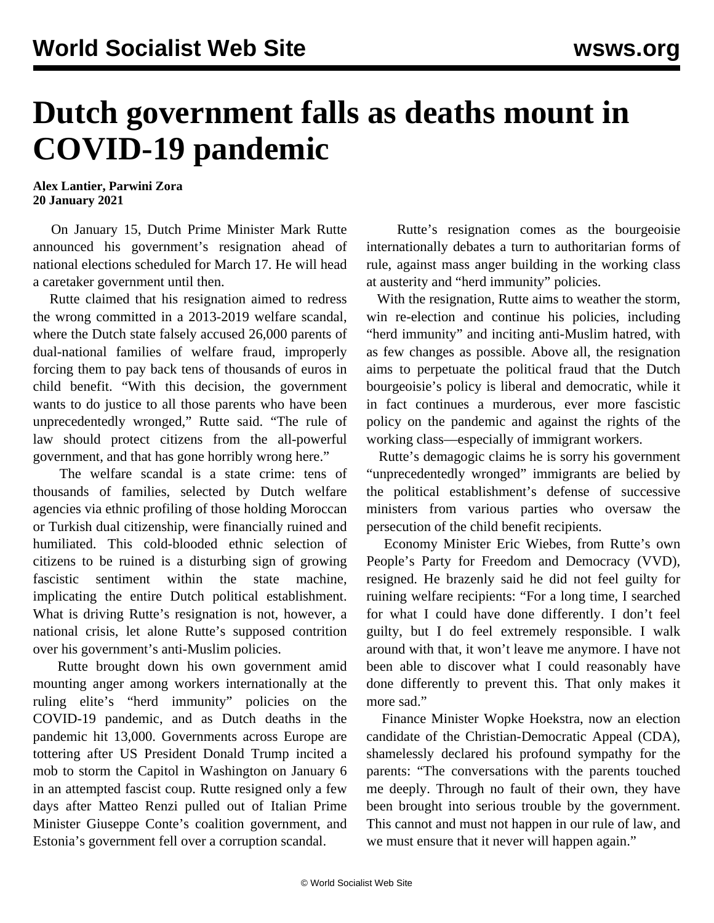## **Dutch government falls as deaths mount in COVID-19 pandemic**

**Alex Lantier, Parwini Zora 20 January 2021**

 On January 15, Dutch Prime Minister Mark Rutte announced his government's resignation ahead of national elections scheduled for March 17. He will head a caretaker government until then.

 Rutte claimed that his resignation aimed to redress the wrong committed in a 2013-2019 welfare scandal, where the Dutch state falsely accused 26,000 parents of dual-national families of welfare fraud, improperly forcing them to pay back tens of thousands of euros in child benefit. "With this decision, the government wants to do justice to all those parents who have been unprecedentedly wronged," Rutte said. "The rule of law should protect citizens from the all-powerful government, and that has gone horribly wrong here."

 The welfare scandal is a state crime: tens of thousands of families, selected by Dutch welfare agencies via ethnic profiling of those holding Moroccan or Turkish dual citizenship, were financially ruined and humiliated. This cold-blooded ethnic selection of citizens to be ruined is a disturbing sign of growing fascistic sentiment within the state machine, implicating the entire Dutch political establishment. What is driving Rutte's resignation is not, however, a national crisis, let alone Rutte's supposed contrition over his government's anti-Muslim policies.

 Rutte brought down his own government amid mounting anger among workers internationally at the ruling elite's "herd immunity" policies on the COVID-19 pandemic, and as Dutch deaths in the pandemic hit 13,000. Governments across Europe are tottering after US President Donald Trump incited a mob to storm the Capitol in Washington on January 6 in an attempted fascist coup. Rutte resigned only a few days after Matteo Renzi pulled out of Italian Prime Minister Giuseppe Conte's coalition government, and Estonia's government fell over a corruption scandal.

 Rutte's resignation comes as the bourgeoisie internationally debates a turn to authoritarian forms of rule, against mass anger building in the working class at austerity and "herd immunity" policies.

 With the resignation, Rutte aims to weather the storm, win re-election and continue his policies, including "herd immunity" and inciting anti-Muslim hatred, with as few changes as possible. Above all, the resignation aims to perpetuate the political fraud that the Dutch bourgeoisie's policy is liberal and democratic, while it in fact continues a murderous, ever more fascistic policy on the pandemic and against the rights of the working class—especially of immigrant workers.

 Rutte's demagogic claims he is sorry his government "unprecedentedly wronged" immigrants are belied by the political establishment's defense of successive ministers from various parties who oversaw the persecution of the child benefit recipients.

 Economy Minister Eric Wiebes, from Rutte's own People's Party for Freedom and Democracy (VVD), resigned. He brazenly said he did not feel guilty for ruining welfare recipients: "For a long time, I searched for what I could have done differently. I don't feel guilty, but I do feel extremely responsible. I walk around with that, it won't leave me anymore. I have not been able to discover what I could reasonably have done differently to prevent this. That only makes it more sad."

 Finance Minister Wopke Hoekstra, now an election candidate of the Christian-Democratic Appeal (CDA), shamelessly declared his profound sympathy for the parents: "The conversations with the parents touched me deeply. Through no fault of their own, they have been brought into serious trouble by the government. This cannot and must not happen in our rule of law, and we must ensure that it never will happen again."